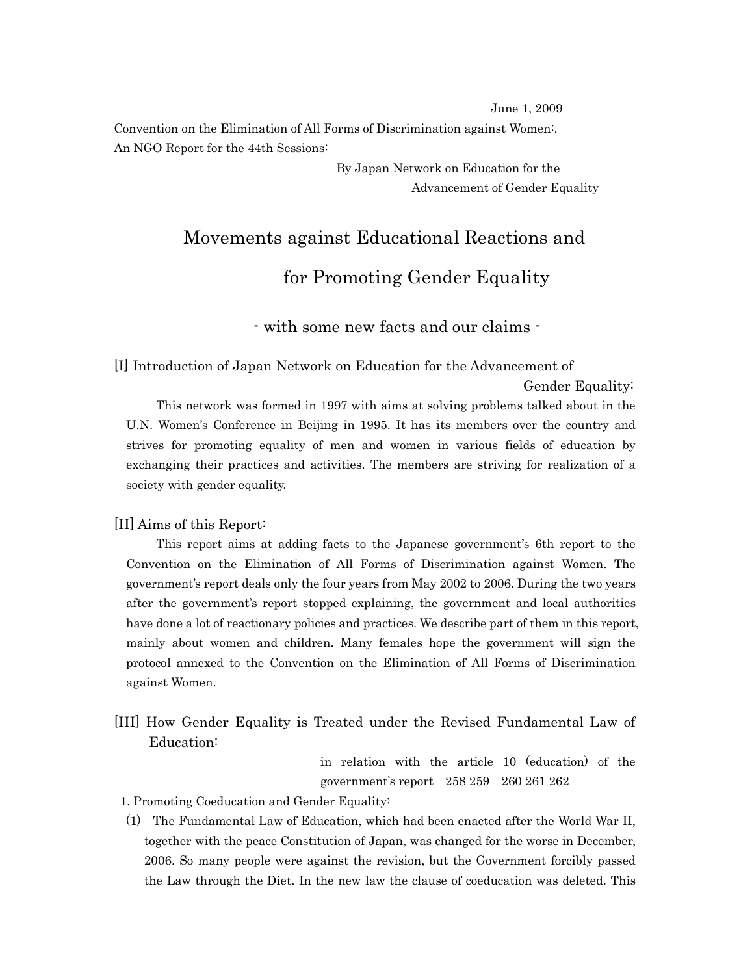June 1, 2009

Convention on the Elimination of All Forms of Discrimination against Women:. An NGO Report for the 44th Sessions:

> By Japan Network on Education for the Advancement of Gender Equality

# Movements against Educational Reactions and

### for Promoting Gender Equality

- with some new facts and our claims -

[I] Introduction of Japan Network on Education for the Advancement of

Gender Equality:

 This network was formed in 1997 with aims at solving problems talked about in the U.N. Women's Conference in Beijing in 1995. It has its members over the country and strives for promoting equality of men and women in various fields of education by exchanging their practices and activities. The members are striving for realization of a society with gender equality.

#### [II] Aims of this Report:

 This report aims at adding facts to the Japanese government's 6th report to the Convention on the Elimination of All Forms of Discrimination against Women. The government's report deals only the four years from May 2002 to 2006. During the two years after the government's report stopped explaining, the government and local authorities have done a lot of reactionary policies and practices. We describe part of them in this report, mainly about women and children. Many females hope the government will sign the protocol annexed to the Convention on the Elimination of All Forms of Discrimination against Women.

[III] How Gender Equality is Treated under the Revised Fundamental Law of Education:

> in relation with the article 10 (education) of the government's report 258 259 260 261 262

- 1. Promoting Coeducation and Gender Equality:
- (1) The Fundamental Law of Education, which had been enacted after the World War II, together with the peace Constitution of Japan, was changed for the worse in December, 2006. So many people were against the revision, but the Government forcibly passed the Law through the Diet. In the new law the clause of coeducation was deleted. This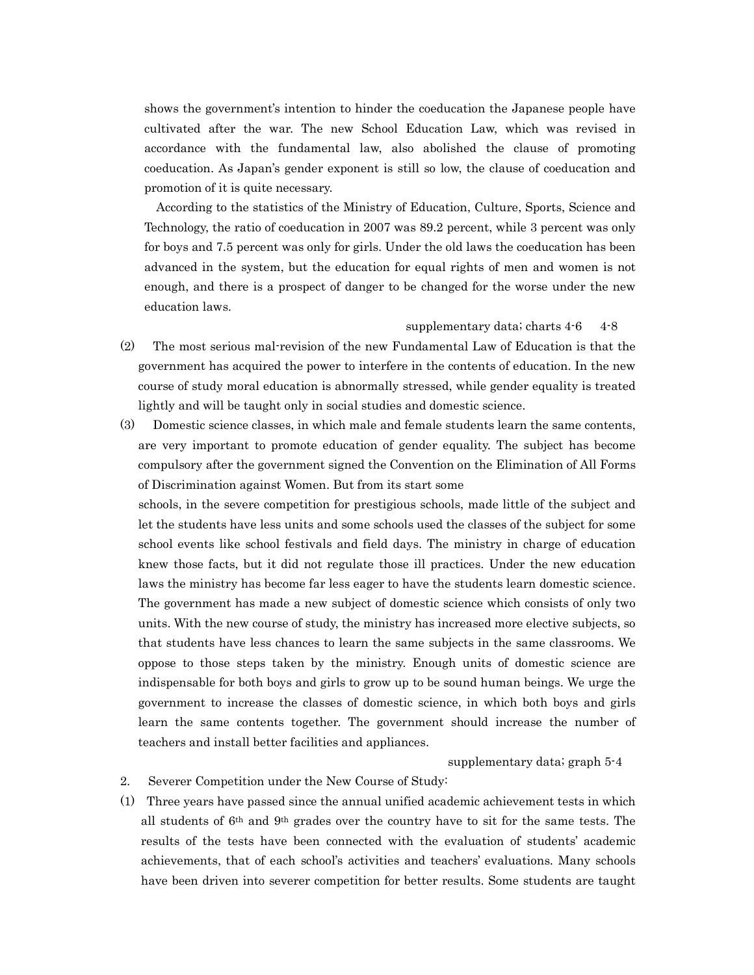shows the government's intention to hinder the coeducation the Japanese people have cultivated after the war. The new School Education Law, which was revised in accordance with the fundamental law, also abolished the clause of promoting coeducation. As Japan's gender exponent is still so low, the clause of coeducation and promotion of it is quite necessary.

 According to the statistics of the Ministry of Education, Culture, Sports, Science and Technology, the ratio of coeducation in 2007 was 89.2 percent, while 3 percent was only for boys and 7.5 percent was only for girls. Under the old laws the coeducation has been advanced in the system, but the education for equal rights of men and women is not enough, and there is a prospect of danger to be changed for the worse under the new education laws.

#### supplementary data; charts  $4-6$  4-8

- (2) The most serious mal-revision of the new Fundamental Law of Education is that the government has acquired the power to interfere in the contents of education. In the new course of study moral education is abnormally stressed, while gender equality is treated lightly and will be taught only in social studies and domestic science.
- (3) Domestic science classes, in which male and female students learn the same contents, are very important to promote education of gender equality. The subject has become compulsory after the government signed the Convention on the Elimination of All Forms of Discrimination against Women. But from its start some

 schools, in the severe competition for prestigious schools, made little of the subject and let the students have less units and some schools used the classes of the subject for some school events like school festivals and field days. The ministry in charge of education knew those facts, but it did not regulate those ill practices. Under the new education laws the ministry has become far less eager to have the students learn domestic science. The government has made a new subject of domestic science which consists of only two units. With the new course of study, the ministry has increased more elective subjects, so that students have less chances to learn the same subjects in the same classrooms. We oppose to those steps taken by the ministry. Enough units of domestic science are indispensable for both boys and girls to grow up to be sound human beings. We urge the government to increase the classes of domestic science, in which both boys and girls learn the same contents together. The government should increase the number of teachers and install better facilities and appliances.

#### supplementary data; graph 5-4

- 2. Severer Competition under the New Course of Study:
- (1) Three years have passed since the annual unified academic achievement tests in which all students of 6th and 9th grades over the country have to sit for the same tests. The results of the tests have been connected with the evaluation of students' academic achievements, that of each school's activities and teachers' evaluations. Many schools have been driven into severer competition for better results. Some students are taught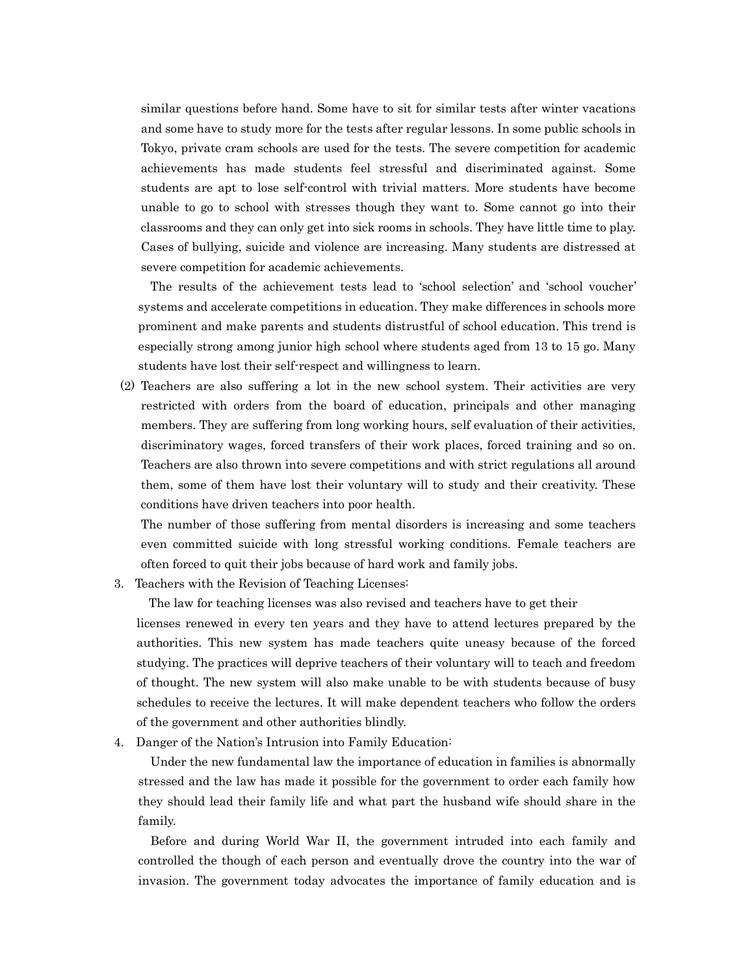similar questions before hand. Some have to sit for similar tests after winter vacations and some have to study more for the tests after regular lessons. In some public schools in Tokyo, private cram schools are used for the tests. The severe competition for academic achievements has made students feel stressful and discriminated against. Some students are apt to lose self-control with trivial matters. More students have become unable to go to school with stresses though they want to. Some cannot go into their classrooms and they can only get into sick rooms in schools. They have little time to play. Cases of bullying, suicide and violence are increasing. Many students are distressed at severe competition for academic achievements.

 The results of the achievement tests lead to 'school selection' and 'school voucher' systems and accelerate competitions in education. They make differences in schools more prominent and make parents and students distrustful of school education. This trend is especially strong among junior high school where students aged from 13 to 15 go. Many students have lost their self-respect and willingness to learn.

(2) Teachers are also suffering a lot in the new school system. Their activities are very restricted with orders from the board of education, principals and other managing members. They are suffering from long working hours, self evaluation of their activities, discriminatory wages, forced transfers of their work places, forced training and so on. Teachers are also thrown into severe competitions and with strict regulations all around them, some of them have lost their voluntary will to study and their creativity. These conditions have driven teachers into poor health.

The number of those suffering from mental disorders is increasing and some teachers even committed suicide with long stressful working conditions. Female teachers are often forced to quit their jobs because of hard work and family jobs.

3. Teachers with the Revision of Teaching Licenses:

The law for teaching licenses was also revised and teachers have to get their

licenses renewed in every ten years and they have to attend lectures prepared by the authorities. This new system has made teachers quite uneasy because of the forced studying. The practices will deprive teachers of their voluntary will to teach and freedom of thought. The new system will also make unable to be with students because of busy schedules to receive the lectures. It will make dependent teachers who follow the orders of the government and other authorities blindly.

4. Danger of the Nation's Intrusion into Family Education:

 Under the new fundamental law the importance of education in families is abnormally stressed and the law has made it possible for the government to order each family how they should lead their family life and what part the husband wife should share in the family.

 Before and during World War II, the government intruded into each family and controlled the though of each person and eventually drove the country into the war of invasion. The government today advocates the importance of family education and is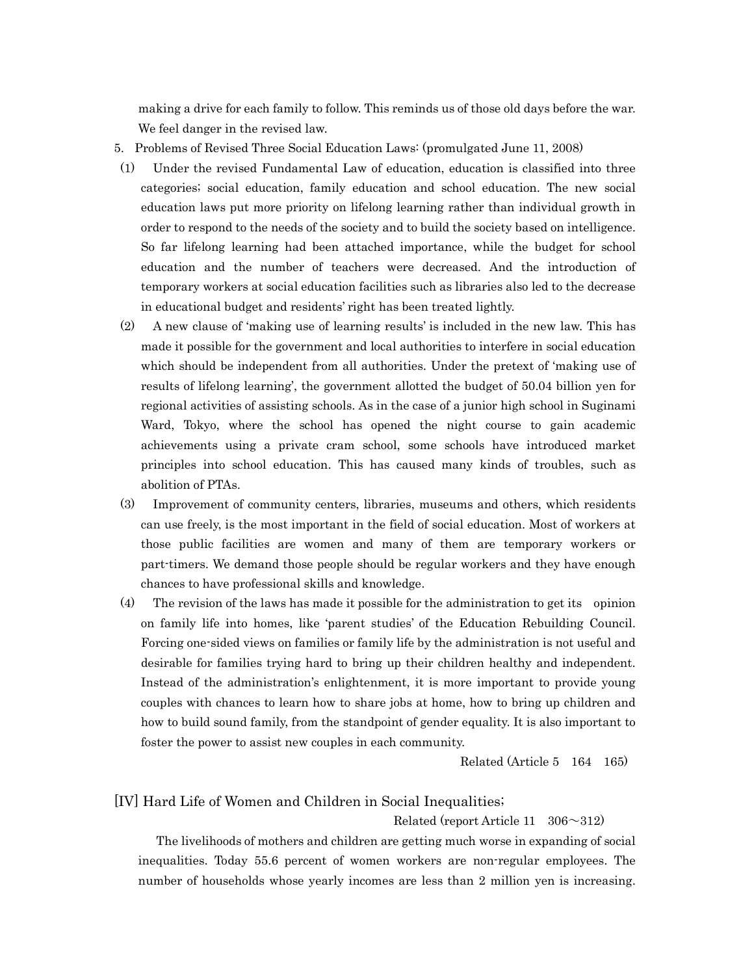making a drive for each family to follow. This reminds us of those old days before the war. We feel danger in the revised law.

- 5. Problems of Revised Three Social Education Laws: (promulgated June 11, 2008)
- (1) Under the revised Fundamental Law of education, education is classified into three categories; social education, family education and school education. The new social education laws put more priority on lifelong learning rather than individual growth in order to respond to the needs of the society and to build the society based on intelligence. So far lifelong learning had been attached importance, while the budget for school education and the number of teachers were decreased. And the introduction of temporary workers at social education facilities such as libraries also led to the decrease in educational budget and residents' right has been treated lightly.
- (2) A new clause of 'making use of learning results' is included in the new law. This has made it possible for the government and local authorities to interfere in social education which should be independent from all authorities. Under the pretext of 'making use of results of lifelong learning', the government allotted the budget of 50.04 billion yen for regional activities of assisting schools. As in the case of a junior high school in Suginami Ward, Tokyo, where the school has opened the night course to gain academic achievements using a private cram school, some schools have introduced market principles into school education. This has caused many kinds of troubles, such as abolition of PTAs.
- (3) Improvement of community centers, libraries, museums and others, which residents can use freely, is the most important in the field of social education. Most of workers at those public facilities are women and many of them are temporary workers or part-timers. We demand those people should be regular workers and they have enough chances to have professional skills and knowledge.
- (4) The revision of the laws has made it possible for the administration to get its opinion on family life into homes, like 'parent studies' of the Education Rebuilding Council. Forcing one-sided views on families or family life by the administration is not useful and desirable for families trying hard to bring up their children healthy and independent. Instead of the administration's enlightenment, it is more important to provide young couples with chances to learn how to share jobs at home, how to bring up children and how to build sound family, from the standpoint of gender equality. It is also important to foster the power to assist new couples in each community.

Related (Article 5 164 165)

#### [IV] Hard Life of Women and Children in Social Inequalities;

#### Related (report Article 11  $306 \sim 312$ )

 The livelihoods of mothers and children are getting much worse in expanding of social inequalities. Today 55.6 percent of women workers are non-regular employees. The number of households whose yearly incomes are less than 2 million yen is increasing.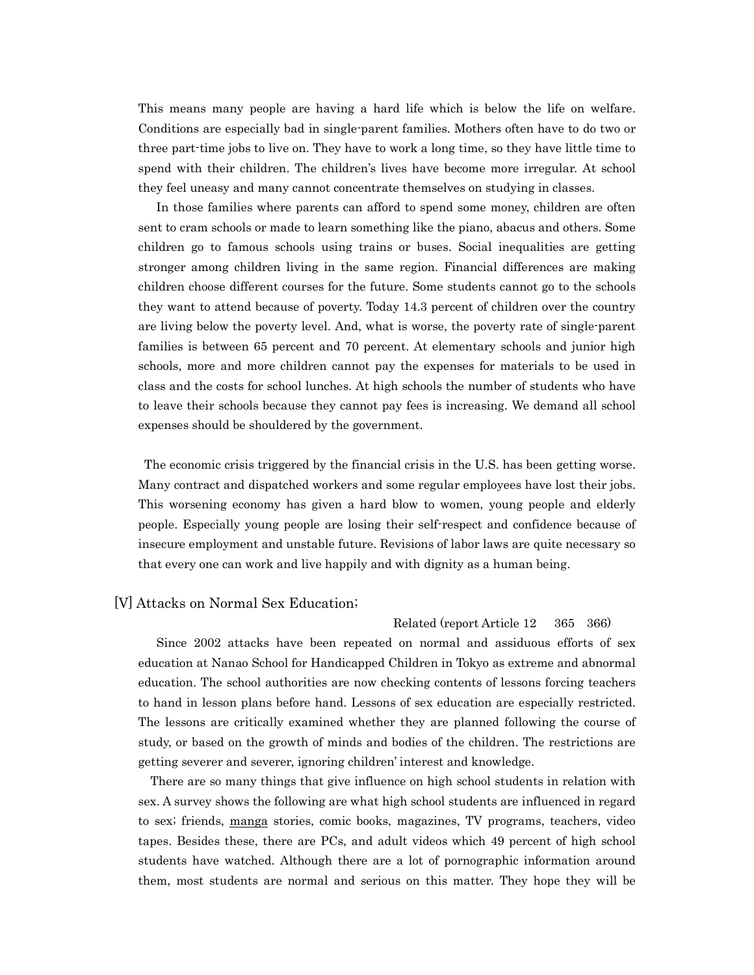This means many people are having a hard life which is below the life on welfare. Conditions are especially bad in single-parent families. Mothers often have to do two or three part-time jobs to live on. They have to work a long time, so they have little time to spend with their children. The children's lives have become more irregular. At school they feel uneasy and many cannot concentrate themselves on studying in classes.

 In those families where parents can afford to spend some money, children are often sent to cram schools or made to learn something like the piano, abacus and others. Some children go to famous schools using trains or buses. Social inequalities are getting stronger among children living in the same region. Financial differences are making children choose different courses for the future. Some students cannot go to the schools they want to attend because of poverty. Today 14.3 percent of children over the country are living below the poverty level. And, what is worse, the poverty rate of single-parent families is between 65 percent and 70 percent. At elementary schools and junior high schools, more and more children cannot pay the expenses for materials to be used in class and the costs for school lunches. At high schools the number of students who have to leave their schools because they cannot pay fees is increasing. We demand all school expenses should be shouldered by the government.

 The economic crisis triggered by the financial crisis in the U.S. has been getting worse. Many contract and dispatched workers and some regular employees have lost their jobs. This worsening economy has given a hard blow to women, young people and elderly people. Especially young people are losing their self-respect and confidence because of insecure employment and unstable future. Revisions of labor laws are quite necessary so that every one can work and live happily and with dignity as a human being.

#### [V] Attacks on Normal Sex Education;

Related (report Article 12 365 366)

Since 2002 attacks have been repeated on normal and assiduous efforts of sex education at Nanao School for Handicapped Children in Tokyo as extreme and abnormal education. The school authorities are now checking contents of lessons forcing teachers to hand in lesson plans before hand. Lessons of sex education are especially restricted. The lessons are critically examined whether they are planned following the course of study, or based on the growth of minds and bodies of the children. The restrictions are getting severer and severer, ignoring children' interest and knowledge.

 There are so many things that give influence on high school students in relation with sex. A survey shows the following are what high school students are influenced in regard to sex; friends, manga stories, comic books, magazines, TV programs, teachers, video tapes. Besides these, there are PCs, and adult videos which 49 percent of high school students have watched. Although there are a lot of pornographic information around them, most students are normal and serious on this matter. They hope they will be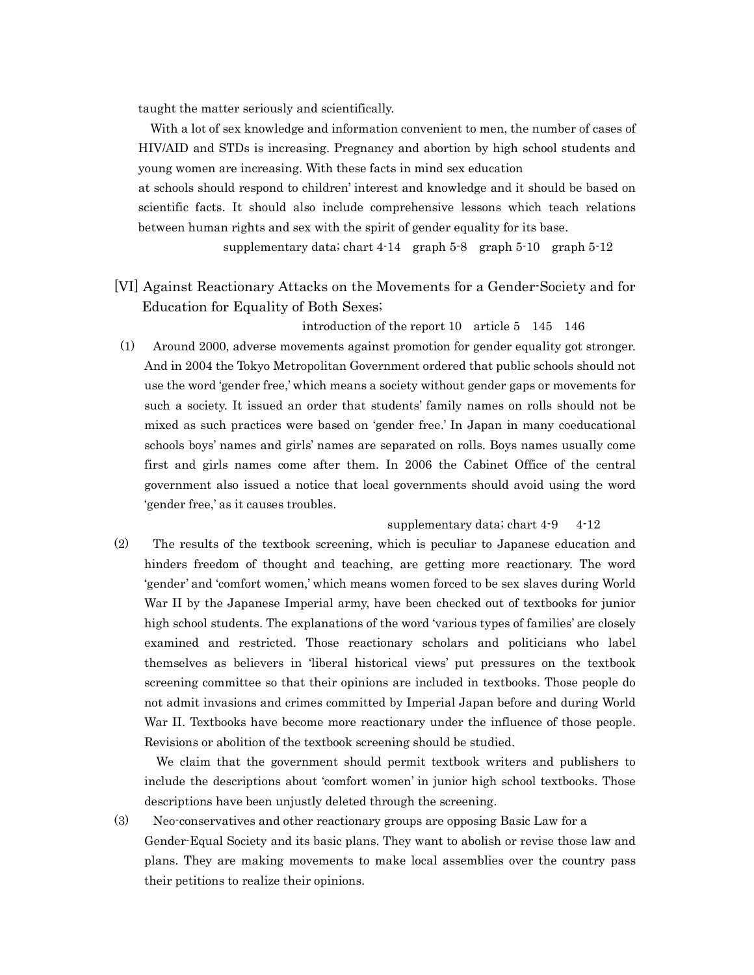taught the matter seriously and scientifically.

 With a lot of sex knowledge and information convenient to men, the number of cases of HIV/AID and STDs is increasing. Pregnancy and abortion by high school students and young women are increasing. With these facts in mind sex education

 at schools should respond to children' interest and knowledge and it should be based on scientific facts. It should also include comprehensive lessons which teach relations between human rights and sex with the spirit of gender equality for its base.

supplementary data; chart 4-14 graph 5-8 graph 5-10 graph 5-12

[VI] Against Reactionary Attacks on the Movements for a Gender-Society and for Education for Equality of Both Sexes;

introduction of the report 10 article 5 145 146

(1) Around 2000, adverse movements against promotion for gender equality got stronger. And in 2004 the Tokyo Metropolitan Government ordered that public schools should not use the word 'gender free,' which means a society without gender gaps or movements for such a society. It issued an order that students' family names on rolls should not be mixed as such practices were based on 'gender free.' In Japan in many coeducational schools boys' names and girls' names are separated on rolls. Boys names usually come first and girls names come after them. In 2006 the Cabinet Office of the central government also issued a notice that local governments should avoid using the word 'gender free,' as it causes troubles.

#### supplementary data; chart  $4-9$   $4-12$

(2) The results of the textbook screening, which is peculiar to Japanese education and hinders freedom of thought and teaching, are getting more reactionary. The word 'gender' and 'comfort women,' which means women forced to be sex slaves during World War II by the Japanese Imperial army, have been checked out of textbooks for junior high school students. The explanations of the word 'various types of families' are closely examined and restricted. Those reactionary scholars and politicians who label themselves as believers in 'liberal historical views' put pressures on the textbook screening committee so that their opinions are included in textbooks. Those people do not admit invasions and crimes committed by Imperial Japan before and during World War II. Textbooks have become more reactionary under the influence of those people. Revisions or abolition of the textbook screening should be studied.

 We claim that the government should permit textbook writers and publishers to include the descriptions about 'comfort women' in junior high school textbooks. Those descriptions have been unjustly deleted through the screening.

(3) Neo-conservatives and other reactionary groups are opposing Basic Law for a Gender-Equal Society and its basic plans. They want to abolish or revise those law and plans. They are making movements to make local assemblies over the country pass their petitions to realize their opinions.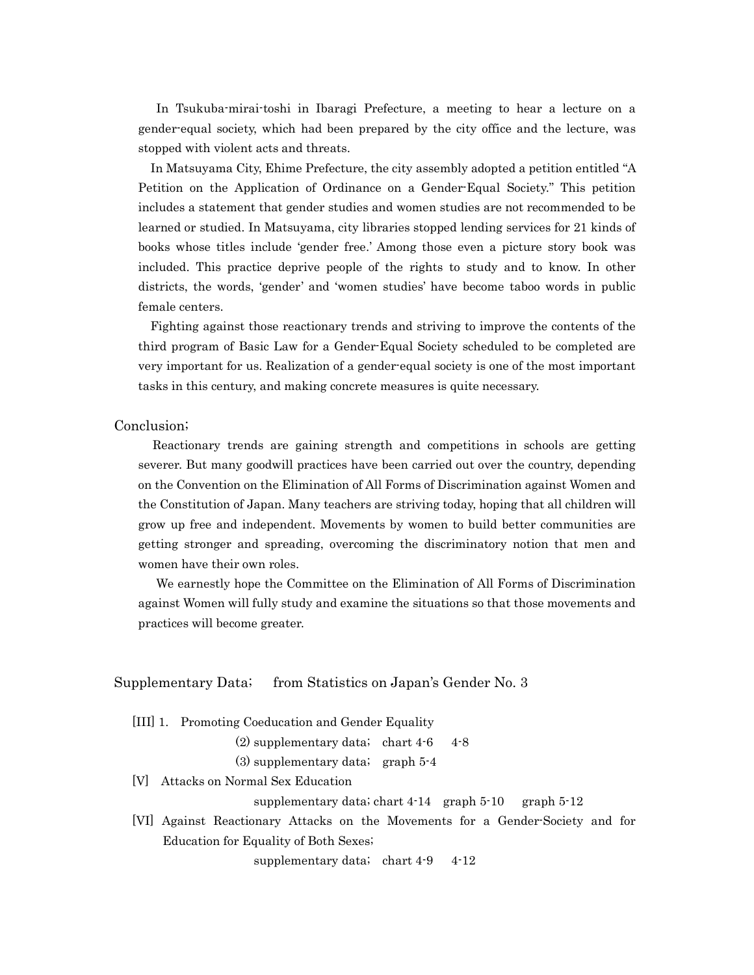In Tsukuba-mirai-toshi in Ibaragi Prefecture, a meeting to hear a lecture on a gender-equal society, which had been prepared by the city office and the lecture, was stopped with violent acts and threats.

 In Matsuyama City, Ehime Prefecture, the city assembly adopted a petition entitled "A Petition on the Application of Ordinance on a Gender-Equal Society." This petition includes a statement that gender studies and women studies are not recommended to be learned or studied. In Matsuyama, city libraries stopped lending services for 21 kinds of books whose titles include 'gender free.' Among those even a picture story book was included. This practice deprive people of the rights to study and to know. In other districts, the words, 'gender' and 'women studies' have become taboo words in public female centers.

 Fighting against those reactionary trends and striving to improve the contents of the third program of Basic Law for a Gender-Equal Society scheduled to be completed are very important for us. Realization of a gender-equal society is one of the most important tasks in this century, and making concrete measures is quite necessary.

#### Conclusion;

 Reactionary trends are gaining strength and competitions in schools are getting severer. But many goodwill practices have been carried out over the country, depending on the Convention on the Elimination of All Forms of Discrimination against Women and the Constitution of Japan. Many teachers are striving today, hoping that all children will grow up free and independent. Movements by women to build better communities are getting stronger and spreading, overcoming the discriminatory notion that men and women have their own roles.

 We earnestly hope the Committee on the Elimination of All Forms of Discrimination against Women will fully study and examine the situations so that those movements and practices will become greater.

#### Supplementary Data; from Statistics on Japan's Gender No. 3

[III] 1. Promoting Coeducation and Gender Equality

(2) supplementary data; chart  $4-6$  4-8

(3) supplementary data; graph 5-4

[V] Attacks on Normal Sex Education

supplementary data; chart  $4-14$  graph  $5-10$  graph  $5-12$ 

 [VI] Against Reactionary Attacks on the Movements for a Gender-Society and for Education for Equality of Both Sexes;

supplementary data; chart  $4-9$   $4-12$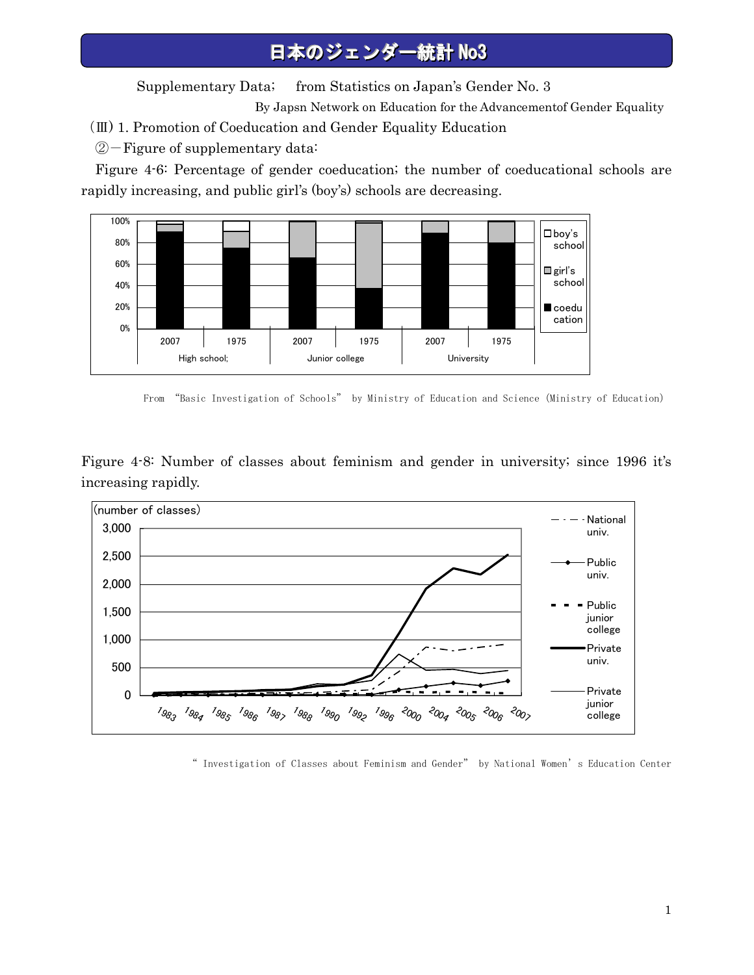Supplementary Data; from Statistics on Japan's Gender No. 3

By Japsn Network on Education for the Advancementof Gender Equality

- (Ⅲ) 1. Promotion of Coeducation and Gender Equality Education
- ②-Figure of supplementary data:

Figure 4-6: Percentage of gender coeducation; the number of coeducational schools are rapidly increasing, and public girl's (boy's) schools are decreasing.



From "Basic Investigation of Schools" by Ministry of Education and Science(Ministry of Education)

Figure 4-8: Number of classes about feminism and gender in university; since 1996 it's increasing rapidly.



" Investigation of Classes about Feminism and Gender" by National Women's Education Center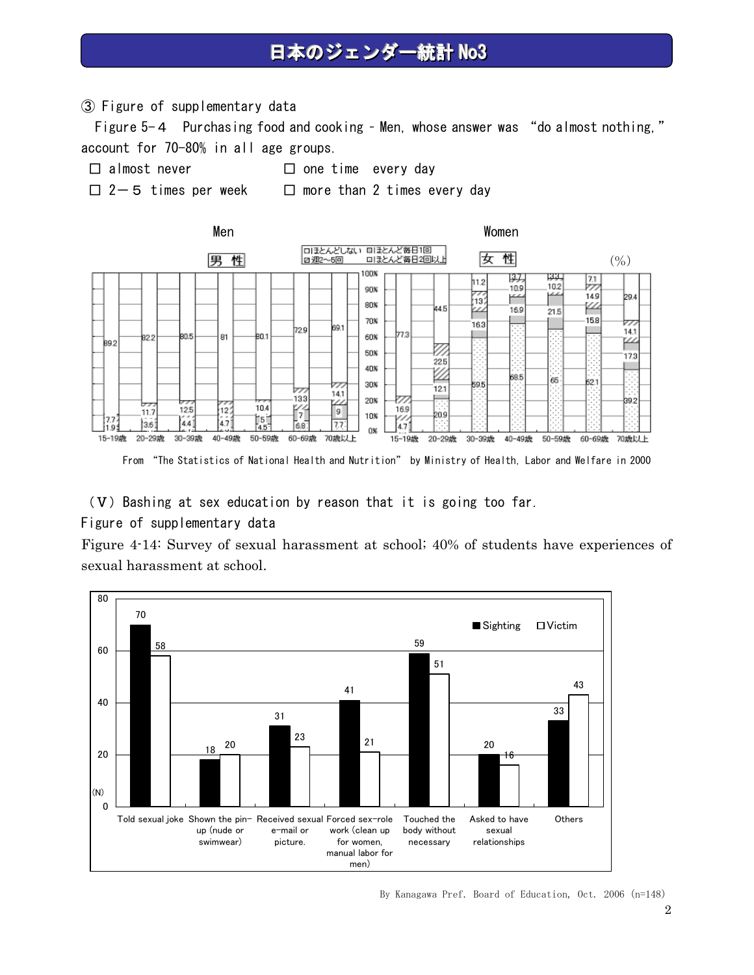③ Figure of supplementary data

Figure 5-4 Purchasing food and cooking – Men, whose answer was "do almost nothing," account for 70-80% in all age groups.

- 
- □ almost never □ one time every day
- 
- □ 2-5 times per week □ more than 2 times every day



(V) Bashing at sex education by reason that it is going too far.

#### Figure of supplementary data

Figure 4-14: Survey of sexual harassment at school; 40% of students have experiences of sexual harassment at school.



By Kanagawa Pref. Board of Education, Oct. 2006 (n=148)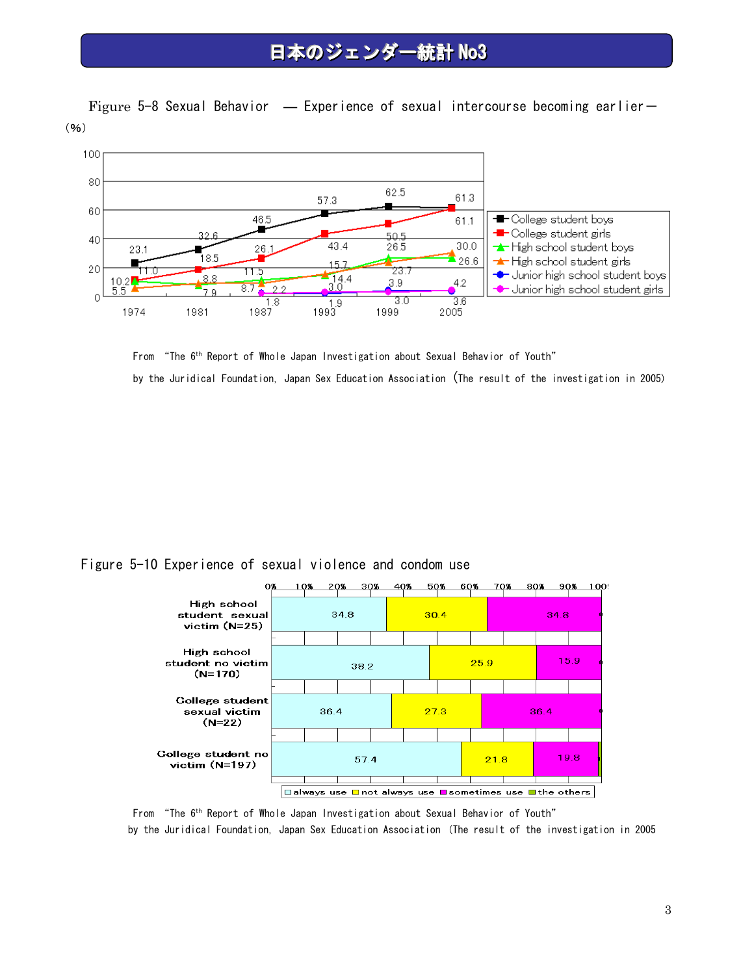Figure 5-8 Sexual Behavior — Experience of sexual intercourse becoming earlier-(%)



From "The 6th Report of Whole Japan Investigation about Sexual Behavior of Youth" by the Juridical Foundation, Japan Sex Education Association (The result of the investigation in 2005)

Figure 5-10 Experience of sexual violence and condom use



From "The 6th Report of Whole Japan Investigation about Sexual Behavior of Youth" by the Juridical Foundation, Japan Sex Education Association (The result of the investigation in 2005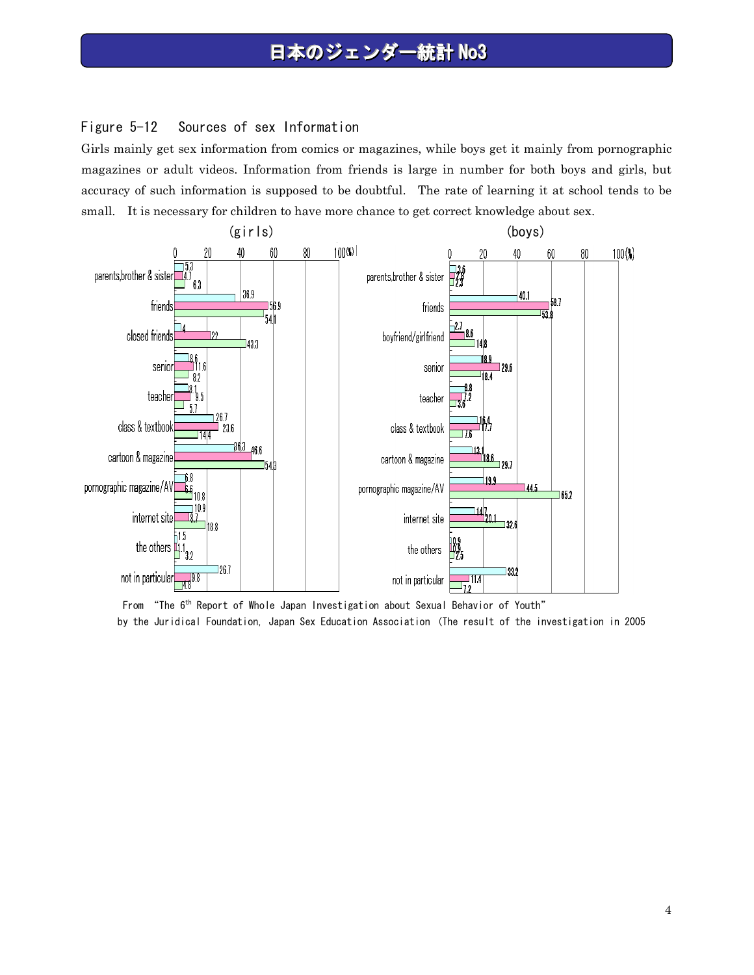#### Figure 5-12 Sources of sex Information

Girls mainly get sex information from comics or magazines, while boys get it mainly from pornographic magazines or adult videos. Information from friends is large in number for both boys and girls, but accuracy of such information is supposed to be doubtful. The rate of learning it at school tends to be small. It is necessary for children to have more chance to get correct knowledge about sex.



From "The 6th Report of Whole Japan Investigation about Sexual Behavior of Youth" by the Juridical Foundation, Japan Sex Education Association (The result of the investigation in 2005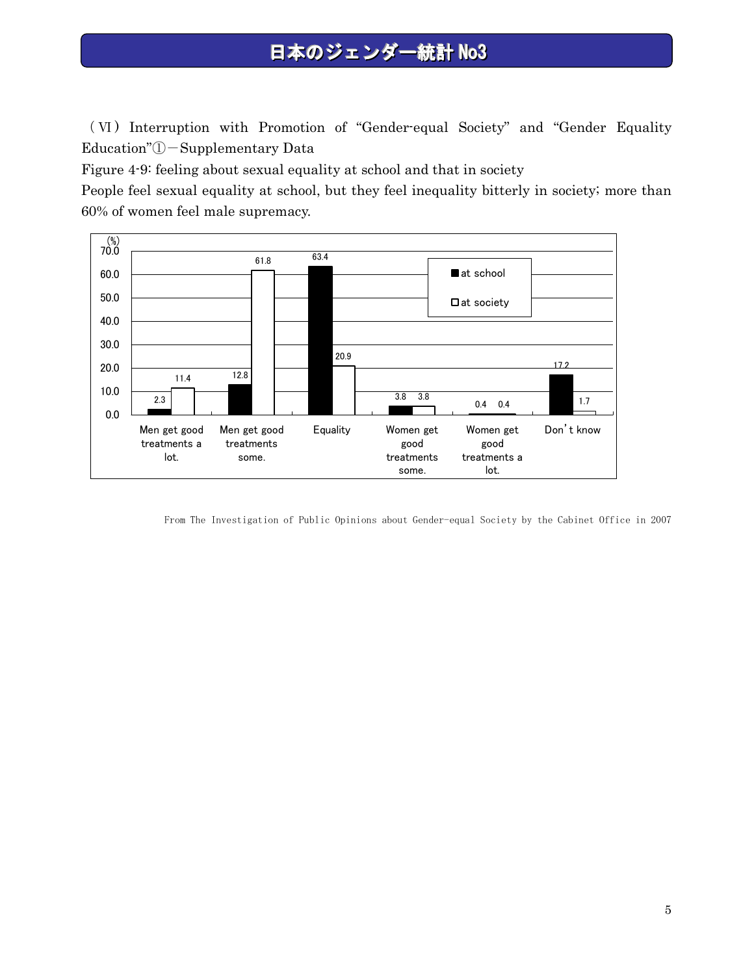( Ⅵ ) Interruption with Promotion of "Gender-equal Society" and "Gender Equality Education"①-Supplementary Data

Figure 4-9: feeling about sexual equality at school and that in society

People feel sexual equality at school, but they feel inequality bitterly in society; more than 60% of women feel male supremacy.



From The Investigation of Public Opinions about Gender-equal Society by the Cabinet Office in 2007